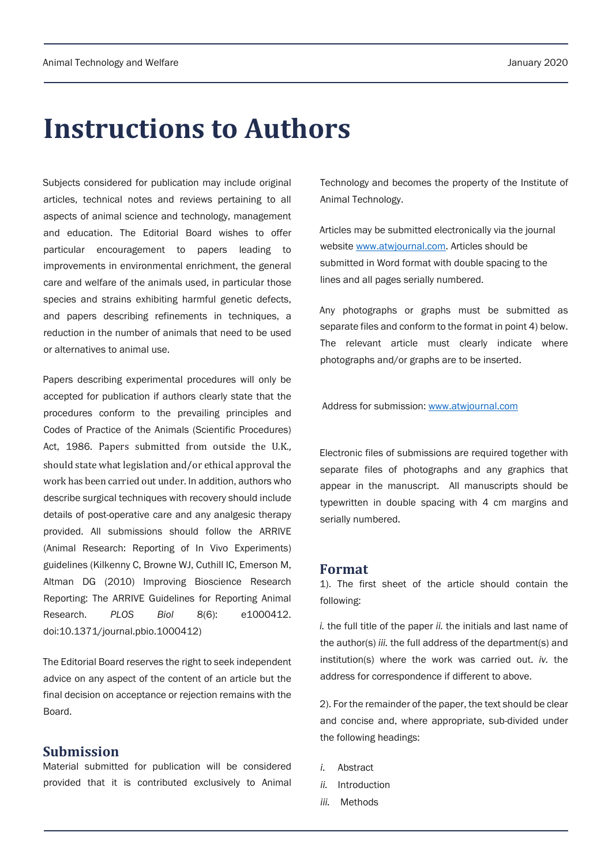# **Instructions to Authors**

Subjects considered for publication may include original articles, technical notes and reviews pertaining to all aspects of animal science and technology, management and education. The Editorial Board wishes to offer particular encouragement to papers leading to improvements in environmental enrichment, the general care and welfare of the animals used, in particular those species and strains exhibiting harmful genetic defects, and papers describing refinements in techniques, a reduction in the number of animals that need to be used or alternatives to animal use.

Papers describing experimental procedures will only be accepted for publication if authors clearly state that the procedures conform to the prevailing principles and Codes of Practice of the Animals (Scientific Procedures) Act, 1986. Papers submitted from outside the U.K., should state what legislation and/or ethical approval the work has been carried out under. In addition, authors who describe surgical techniques with recovery should include details of post-operative care and any analgesic therapy provided. All submissions should follow the ARRIVE (Animal Research: Reporting of In Vivo Experiments) guidelines (Kilkenny C, Browne WJ, Cuthill IC, Emerson M, Altman DG (2010) Improving Bioscience Research Reporting: The ARRIVE Guidelines for Reporting Animal Research. *PLOS Biol* 8(6): e1000412. doi:10.1371/journal.pbio.1000412)

The Editorial Board reserves the right to seek independent advice on any aspect of the content of an article but the final decision on acceptance or rejection remains with the Board.

## **Submission**

Material submitted for publication will be considered provided that it is contributed exclusively to Animal Technology and becomes the property of the Institute of Animal Technology.

Articles may be submitted electronically via the journal website www.atwjournal.com. Articles should be submitted in Word format with double spacing to the lines and all pages serially numbered.

Any photographs or graphs must be submitted as separate files and conform to the format in point 4) below. The relevant article must clearly indicate where photographs and/or graphs are to be inserted.

Address for submission: www.atwjournal.com

Electronic files of submissions are required together with separate files of photographs and any graphics that appear in the manuscript. All manuscripts should be typewritten in double spacing with 4 cm margins and serially numbered.

### **Format**

1). The first sheet of the article should contain the following:

*i.* the full title of the paper *ii.* the initials and last name of the author(s) *iii.* the full address of the department(s) and institution(s) where the work was carried out. *iv.* the address for correspondence if different to above.

2). For the remainder of the paper, the text should be clear and concise and, where appropriate, sub-divided under the following headings:

- *i.* Abstract
- *ii.* Introduction
- *iii.* Methods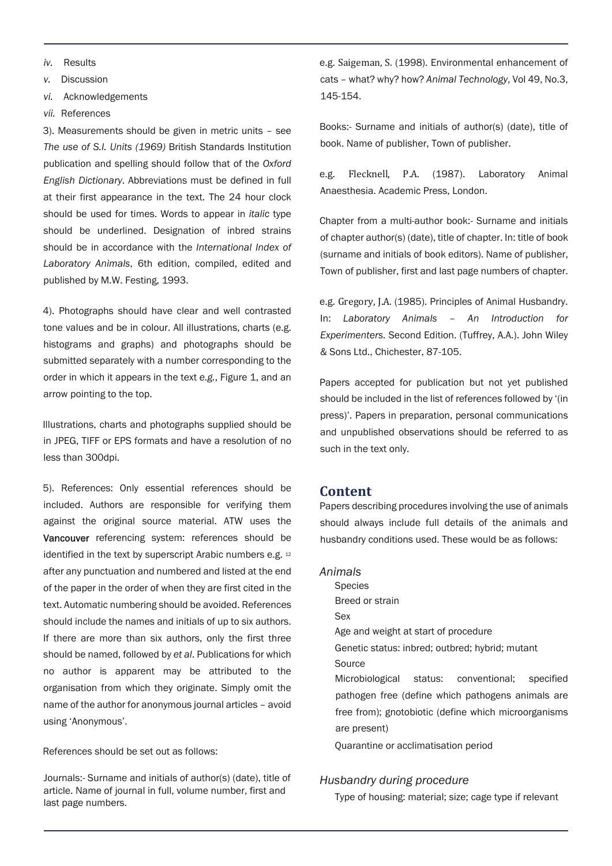- *iv.* Results
- *v.* Discussion

*vi.* Acknowledgements

*vii.* References

3). Measurements should be given in metric units – see *The use of S.I. Units (1969)* British Standards Institution publication and spelling should follow that of the *Oxford English Dictionary*. Abbreviations must be defined in full at their first appearance in the text. The 24 hour clock should be used for times. Words to appear in *italic* type should be underlined. Designation of inbred strains should be in accordance with the *International Index of Laboratory Animals*, 6th edition, compiled, edited and published by M.W. Festing, 1993.

4). Photographs should have clear and well contrasted tone values and be in colour. All illustrations, charts (e.g. histograms and graphs) and photographs should be submitted separately with a number corresponding to the order in which it appears in the text *e.g.*, Figure 1, and an arrow pointing to the top.

Illustrations, charts and photographs supplied should be in JPEG, TIFF or EPS formats and have a resolution of no less than 300dpi.

5). References: Only essential references should be included. Authors are responsible for verifying them against the original source material. ATW uses the Vancouver referencing system: references should be identified in the text by superscript Arabic numbers e.g. 12 after any punctuation and numbered and listed at the end of the paper in the order of when they are first cited in the text. Automatic numbering should be avoided. References should include the names and initials of up to six authors. If there are more than six authors, only the first three should be named, followed by *et al*. Publications for which no author is apparent may be attributed to the organisation from which they originate. Simply omit the name of the author for anonymous journal articles – avoid using 'Anonymous'.

References should be set out as follows:

Journals:- Surname and initials of author(s) (date), title of article. Name of journal in full, volume number, first and last page numbers.

e.g. Saigeman, S. (1998). Environmental enhancement of cats – what? why? how? *Animal Technology*, Vol 49, No.3, 145-154.

Books:- Surname and initials of author(s) (date), title of book. Name of publisher, Town of publisher.

e.g. Flecknell, P.A. (1987). Laboratory Animal Anaesthesia. Academic Press, London.

Chapter from a multi-author book:- Surname and initials of chapter author(s) (date), title of chapter. In: title of book (surname and initials of book editors). Name of publisher, Town of publisher, first and last page numbers of chapter.

e.g. Gregory, J.A. (1985). Principles of Animal Husbandry. In: *Laboratory Animals – An Introduction for Experimenters.* Second Edition. (Tuffrey, A.A.). John Wiley & Sons Ltd., Chichester, 87-105.

Papers accepted for publication but not yet published should be included in the list of references followed by '(in press)'. Papers in preparation, personal communications and unpublished observations should be referred to as such in the text only.

#### **Content**

Papers describing procedures involving the use of animals should always include full details of the animals and husbandry conditions used. These would be as follows:

#### *Animals*

Species Breed or strain Sex Age and weight at start of procedure Genetic status: inbred; outbred; hybrid; mutant Source Microbiological status: conventional; specified pathogen free (define which pathogens animals are free from); gnotobiotic (define which microorganisms are present)

Quarantine or acclimatisation period

#### *Husbandry during procedure*

Type of housing: material; size; cage type if relevant